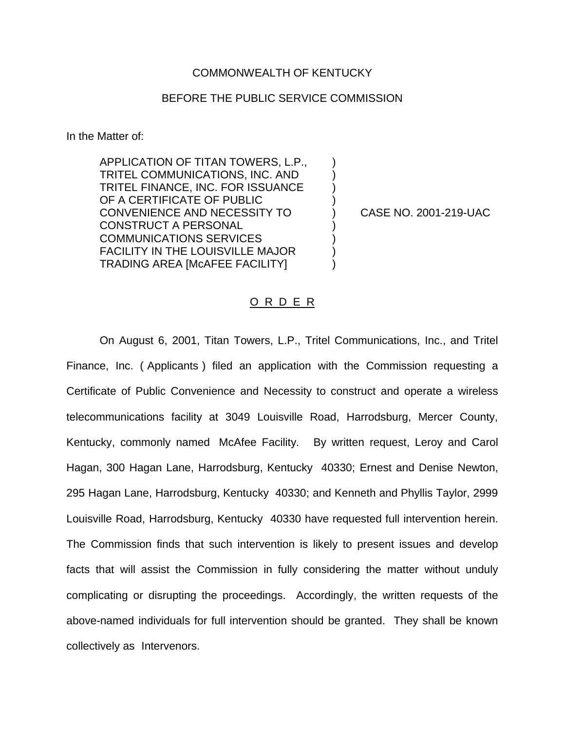## COMMONWEALTH OF KENTUCKY

## BEFORE THE PUBLIC SERVICE COMMISSION

In the Matter of:

APPLICATION OF TITAN TOWERS, L.P., TRITEL COMMUNICATIONS, INC. AND ) TRITEL FINANCE, INC. FOR ISSUANCE ) OF A CERTIFICATE OF PUBLIC CONVENIENCE AND NECESSITY TO ) CASE NO. 2001-219-UAC CONSTRUCT A PERSONAL COMMUNICATIONS SERVICES ) FACILITY IN THE LOUISVILLE MAJOR ) TRADING AREA [McAFEE FACILITY] )

## O R D E R

On August 6, 2001, Titan Towers, L.P., Tritel Communications, Inc., and Tritel Finance, Inc. ( Applicants ) filed an application with the Commission requesting a Certificate of Public Convenience and Necessity to construct and operate a wireless telecommunications facility at 3049 Louisville Road, Harrodsburg, Mercer County, Kentucky, commonly named McAfee Facility. By written request, Leroy and Carol Hagan, 300 Hagan Lane, Harrodsburg, Kentucky 40330; Ernest and Denise Newton, 295 Hagan Lane, Harrodsburg, Kentucky 40330; and Kenneth and Phyllis Taylor, 2999 Louisville Road, Harrodsburg, Kentucky 40330 have requested full intervention herein. The Commission finds that such intervention is likely to present issues and develop facts that will assist the Commission in fully considering the matter without unduly complicating or disrupting the proceedings. Accordingly, the written requests of the above-named individuals for full intervention should be granted. They shall be known collectively as Intervenors.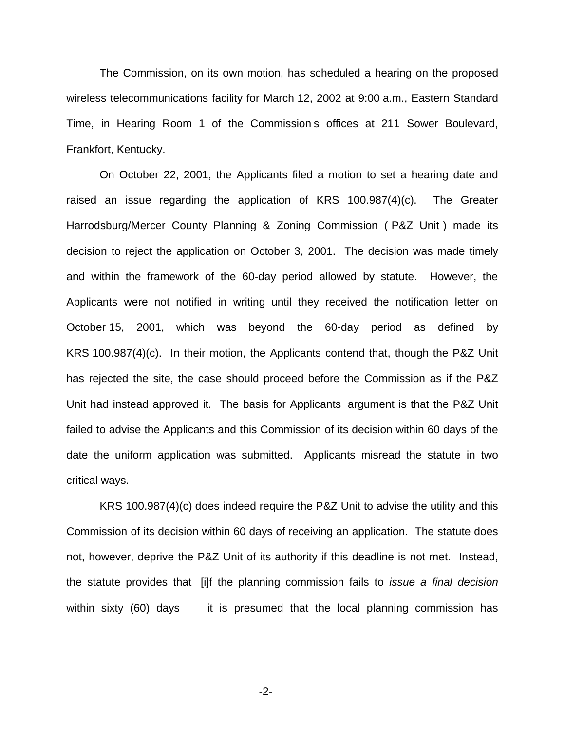The Commission, on its own motion, has scheduled a hearing on the proposed wireless telecommunications facility for March 12, 2002 at 9:00 a.m., Eastern Standard Time, in Hearing Room 1 of the Commission s offices at 211 Sower Boulevard, Frankfort, Kentucky.

On October 22, 2001, the Applicants filed a motion to set a hearing date and raised an issue regarding the application of KRS 100.987(4)(c). The Greater Harrodsburg/Mercer County Planning & Zoning Commission ( P&Z Unit ) made its decision to reject the application on October 3, 2001. The decision was made timely and within the framework of the 60-day period allowed by statute. However, the Applicants were not notified in writing until they received the notification letter on October 15, 2001, which was beyond the 60-day period as defined by KRS 100.987(4)(c). In their motion, the Applicants contend that, though the P&Z Unit has rejected the site, the case should proceed before the Commission as if the P&Z Unit had instead approved it. The basis for Applicants argument is that the P&Z Unit failed to advise the Applicants and this Commission of its decision within 60 days of the date the uniform application was submitted. Applicants misread the statute in two critical ways.

KRS 100.987(4)(c) does indeed require the P&Z Unit to advise the utility and this Commission of its decision within 60 days of receiving an application. The statute does not, however, deprive the P&Z Unit of its authority if this deadline is not met. Instead, the statute provides that [i]f the planning commission fails to *issue a final decision* within sixty (60) days it is presumed that the local planning commission has

-2-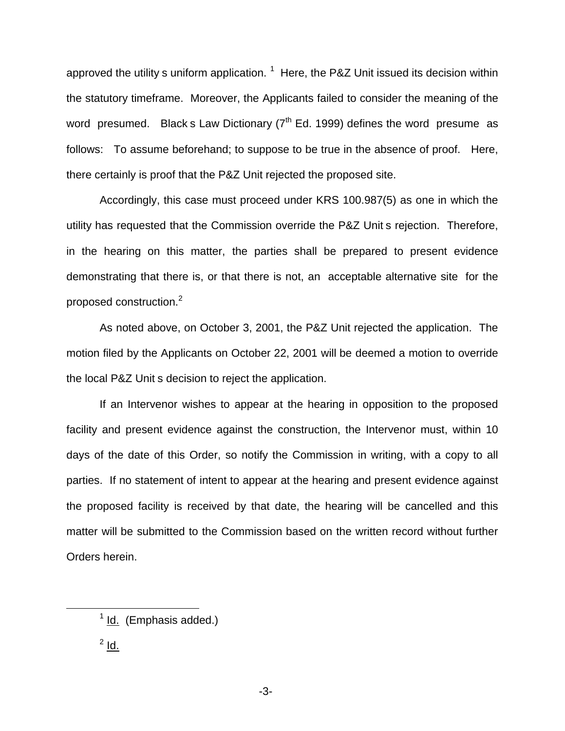approved the utility s uniform application.  $1$  Here, the P&Z Unit issued its decision within the statutory timeframe. Moreover, the Applicants failed to consider the meaning of the word presumed. Black s Law Dictionary  $7<sup>th</sup>$  Ed. 1999) defines the word presume as follows: To assume beforehand; to suppose to be true in the absence of proof. Here, there certainly is proof that the P&Z Unit rejected the proposed site.

Accordingly, this case must proceed under KRS 100.987(5) as one in which the utility has requested that the Commission override the P&Z Unit s rejection. Therefore, in the hearing on this matter, the parties shall be prepared to present evidence demonstrating that there is, or that there is not, an acceptable alternative site for the proposed construction.<sup>2</sup>

As noted above, on October 3, 2001, the P&Z Unit rejected the application. The motion filed by the Applicants on October 22, 2001 will be deemed a motion to override the local P&Z Unit s decision to reject the application.

If an Intervenor wishes to appear at the hearing in opposition to the proposed facility and present evidence against the construction, the Intervenor must, within 10 days of the date of this Order, so notify the Commission in writing, with a copy to all parties. If no statement of intent to appear at the hearing and present evidence against the proposed facility is received by that date, the hearing will be cancelled and this matter will be submitted to the Commission based on the written record without further Orders herein.

 $^2$  Id.

-3-

 $<sup>1</sup>$  Id. (Emphasis added.)</sup>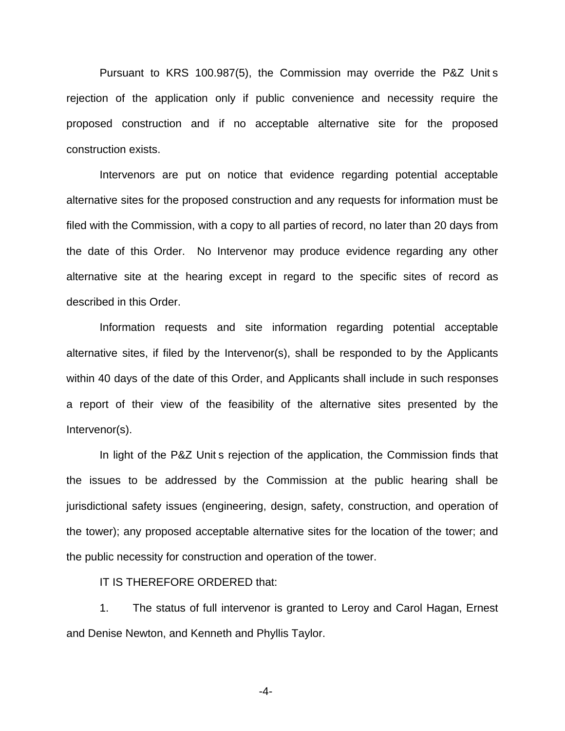Pursuant to KRS 100.987(5), the Commission may override the P&Z Unit s rejection of the application only if public convenience and necessity require the proposed construction and if no acceptable alternative site for the proposed construction exists.

Intervenors are put on notice that evidence regarding potential acceptable alternative sites for the proposed construction and any requests for information must be filed with the Commission, with a copy to all parties of record, no later than 20 days from the date of this Order. No Intervenor may produce evidence regarding any other alternative site at the hearing except in regard to the specific sites of record as described in this Order.

Information requests and site information regarding potential acceptable alternative sites, if filed by the Intervenor(s), shall be responded to by the Applicants within 40 days of the date of this Order, and Applicants shall include in such responses a report of their view of the feasibility of the alternative sites presented by the Intervenor(s).

In light of the P&Z Unit s rejection of the application, the Commission finds that the issues to be addressed by the Commission at the public hearing shall be jurisdictional safety issues (engineering, design, safety, construction, and operation of the tower); any proposed acceptable alternative sites for the location of the tower; and the public necessity for construction and operation of the tower.

IT IS THEREFORE ORDERED that:

1. The status of full intervenor is granted to Leroy and Carol Hagan, Ernest and Denise Newton, and Kenneth and Phyllis Taylor.

-4-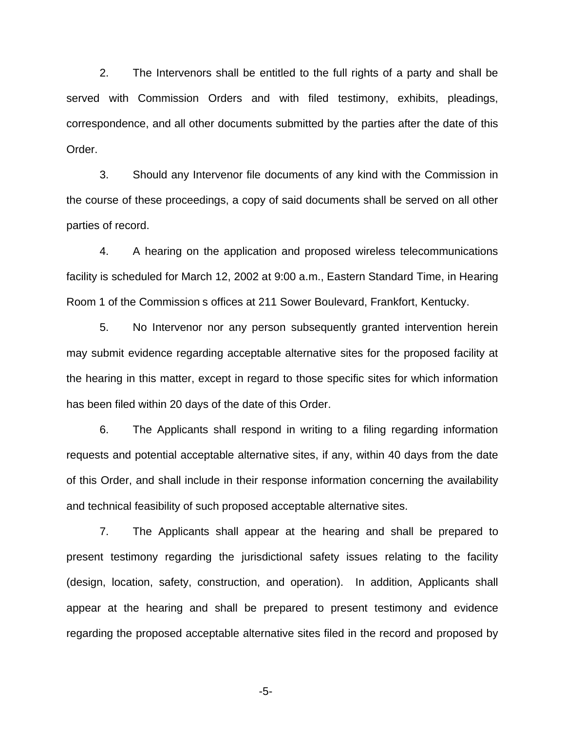2. The Intervenors shall be entitled to the full rights of a party and shall be served with Commission Orders and with filed testimony, exhibits, pleadings, correspondence, and all other documents submitted by the parties after the date of this Order.

3. Should any Intervenor file documents of any kind with the Commission in the course of these proceedings, a copy of said documents shall be served on all other parties of record.

4. A hearing on the application and proposed wireless telecommunications facility is scheduled for March 12, 2002 at 9:00 a.m., Eastern Standard Time, in Hearing Room 1 of the Commission s offices at 211 Sower Boulevard, Frankfort, Kentucky.

5. No Intervenor nor any person subsequently granted intervention herein may submit evidence regarding acceptable alternative sites for the proposed facility at the hearing in this matter, except in regard to those specific sites for which information has been filed within 20 days of the date of this Order.

6. The Applicants shall respond in writing to a filing regarding information requests and potential acceptable alternative sites, if any, within 40 days from the date of this Order, and shall include in their response information concerning the availability and technical feasibility of such proposed acceptable alternative sites.

7. The Applicants shall appear at the hearing and shall be prepared to present testimony regarding the jurisdictional safety issues relating to the facility (design, location, safety, construction, and operation). In addition, Applicants shall appear at the hearing and shall be prepared to present testimony and evidence regarding the proposed acceptable alternative sites filed in the record and proposed by

-5-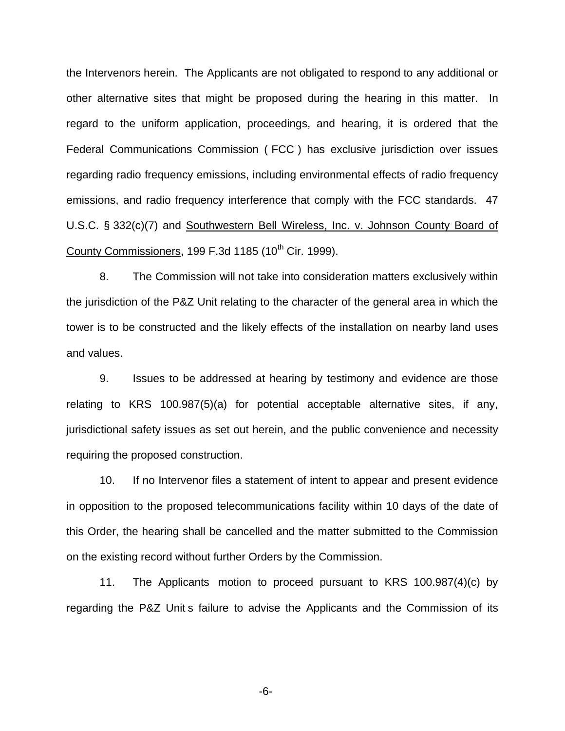the Intervenors herein. The Applicants are not obligated to respond to any additional or other alternative sites that might be proposed during the hearing in this matter. In regard to the uniform application, proceedings, and hearing, it is ordered that the Federal Communications Commission ( FCC ) has exclusive jurisdiction over issues regarding radio frequency emissions, including environmental effects of radio frequency emissions, and radio frequency interference that comply with the FCC standards. 47 U.S.C. § 332(c)(7) and Southwestern Bell Wireless, Inc. v. Johnson County Board of County Commissioners, 199 F.3d 1185 (10<sup>th</sup> Cir. 1999).

8. The Commission will not take into consideration matters exclusively within the jurisdiction of the P&Z Unit relating to the character of the general area in which the tower is to be constructed and the likely effects of the installation on nearby land uses and values.

9. Issues to be addressed at hearing by testimony and evidence are those relating to KRS 100.987(5)(a) for potential acceptable alternative sites, if any, jurisdictional safety issues as set out herein, and the public convenience and necessity requiring the proposed construction.

10. If no Intervenor files a statement of intent to appear and present evidence in opposition to the proposed telecommunications facility within 10 days of the date of this Order, the hearing shall be cancelled and the matter submitted to the Commission on the existing record without further Orders by the Commission.

11. The Applicants motion to proceed pursuant to KRS 100.987(4)(c) by regarding the P&Z Unit s failure to advise the Applicants and the Commission of its

-6-